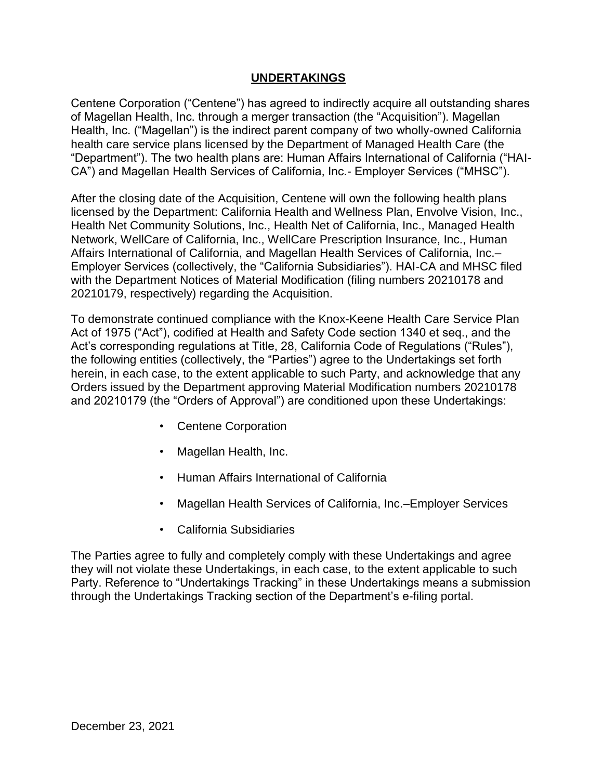#### **UNDERTAKINGS**

 of Magellan Health, Inc. through a merger transaction (the "Acquisition"). Magellan Centene Corporation ("Centene") has agreed to indirectly acquire all outstanding shares Health, Inc. ("Magellan") is the indirect parent company of two wholly-owned California health care service plans licensed by the Department of Managed Health Care (the "Department"). The two health plans are: Human Affairs International of California ("HAI-CA") and Magellan Health Services of California, Inc.- Employer Services ("MHSC").

 with the Department Notices of Material Modification (filing numbers 20210178 and After the closing date of the Acquisition, Centene will own the following health plans licensed by the Department: California Health and Wellness Plan, Envolve Vision, Inc., Health Net Community Solutions, Inc., Health Net of California, Inc., Managed Health Network, WellCare of California, Inc., WellCare Prescription Insurance, Inc., Human Affairs International of California, and Magellan Health Services of California, Inc.– Employer Services (collectively, the "California Subsidiaries"). HAI-CA and MHSC filed 20210179, respectively) regarding the Acquisition.

 Act of 1975 ("Act"), codified at Health and Safety Code section 1340 et seq., and the Act's corresponding regulations at Title, 28, California Code of Regulations ("Rules"), To demonstrate continued compliance with the Knox-Keene Health Care Service Plan the following entities (collectively, the "Parties") agree to the Undertakings set forth herein, in each case, to the extent applicable to such Party, and acknowledge that any Orders issued by the Department approving Material Modification numbers 20210178 and 20210179 (the "Orders of Approval") are conditioned upon these Undertakings:

- Centene Corporation
- Magellan Health, Inc.
- Human Affairs International of California
- Magellan Health Services of California, Inc.–Employer Services
- California Subsidiaries

The Parties agree to fully and completely comply with these Undertakings and agree they will not violate these Undertakings, in each case, to the extent applicable to such Party. Reference to "Undertakings Tracking" in these Undertakings means a submission through the Undertakings Tracking section of the Department's e-filing portal.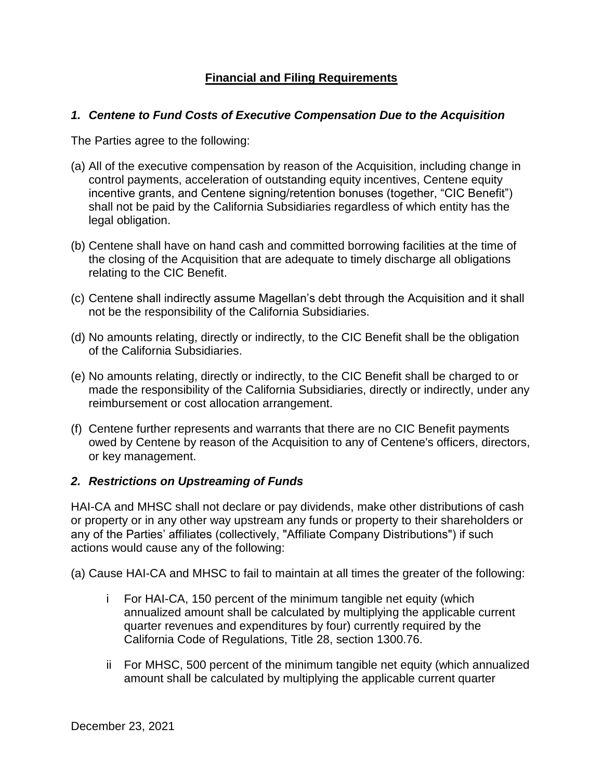## **Financial and Filing Requirements**

### *1. Centene to Fund Costs of Executive Compensation Due to the Acquisition*

The Parties agree to the following:

- (a) All of the executive compensation by reason of the Acquisition, including change in control payments, acceleration of outstanding equity incentives, Centene equity incentive grants, and Centene signing/retention bonuses (together, "CIC Benefit") shall not be paid by the California Subsidiaries regardless of which entity has the legal obligation.
- (b) Centene shall have on hand cash and committed borrowing facilities at the time of the closing of the Acquisition that are adequate to timely discharge all obligations relating to the CIC Benefit.
- (c) Centene shall indirectly assume Magellan's debt through the Acquisition and it shall not be the responsibility of the California Subsidiaries.
- (d) No amounts relating, directly or indirectly, to the CIC Benefit shall be the obligation of the California Subsidiaries.
- (e) No amounts relating, directly or indirectly, to the CIC Benefit shall be charged to or made the responsibility of the California Subsidiaries, directly or indirectly, under any reimbursement or cost allocation arrangement.
- (f) Centene further represents and warrants that there are no CIC Benefit payments owed by Centene by reason of the Acquisition to any of Centene's officers, directors, or key management.

## *2. Restrictions on Upstreaming of Funds*

 actions would cause any of the following: HAI-CA and MHSC shall not declare or pay dividends, make other distributions of cash or property or in any other way upstream any funds or property to their shareholders or any of the Parties' affiliates (collectively, "Affiliate Company Distributions") if such

(a) Cause HAI-CA and MHSC to fail to maintain at all times the greater of the following:

- i For HAI-CA, 150 percent of the minimum tangible net equity (which annualized amount shall be calculated by multiplying the applicable current quarter revenues and expenditures by four) currently required by the California Code of Regulations, Title 28, section 1300.76.
- ii For MHSC, 500 percent of the minimum tangible net equity (which annualized amount shall be calculated by multiplying the applicable current quarter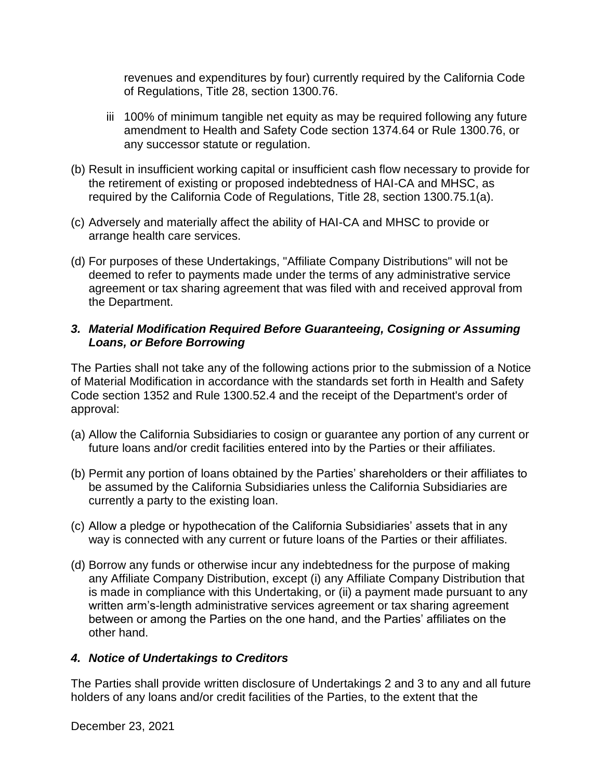revenues and expenditures by four) currently required by the California Code of Regulations, Title 28, section 1300.76.

- amendment to Health and Safety Code section 1374.64 or Rule 1300.76, or iii 100% of minimum tangible net equity as may be required following any future any successor statute or regulation.
- (b) Result in insufficient working capital or insufficient cash flow necessary to provide for the retirement of existing or proposed indebtedness of HAI-CA and MHSC, as required by the California Code of Regulations, Title 28, section 1300.75.1(a).
- (c) Adversely and materially affect the ability of HAI-CA and MHSC to provide or arrange health care services.
- (d) For purposes of these Undertakings, "Affiliate Company Distributions" will not be deemed to refer to payments made under the terms of any administrative service agreement or tax sharing agreement that was filed with and received approval from the Department.

### **3. Material Modification Required Before Guaranteeing, Cosigning or Assuming** *Loans, or Before Borrowing*

 The Parties shall not take any of the following actions prior to the submission of a Notice of Material Modification in accordance with the standards set forth in Health and Safety Code section 1352 and Rule 1300.52.4 and the receipt of the Department's order of approval:

- (a) Allow the California Subsidiaries to cosign or guarantee any portion of any current or future loans and/or credit facilities entered into by the Parties or their affiliates.
- (b) Permit any portion of loans obtained by the Parties' shareholders or their affiliates to be assumed by the California Subsidiaries unless the California Subsidiaries are currently a party to the existing loan.
- (c) Allow a pledge or hypothecation of the California Subsidiaries' assets that in any way is connected with any current or future loans of the Parties or their affiliates.
- (d) Borrow any funds or otherwise incur any indebtedness for the purpose of making between or among the Parties on the one hand, and the Parties' affiliates on the any Affiliate Company Distribution, except (i) any Affiliate Company Distribution that is made in compliance with this Undertaking, or (ii) a payment made pursuant to any written arm's-length administrative services agreement or tax sharing agreement other hand.

#### *4. Notice of Undertakings to Creditors*

 The Parties shall provide written disclosure of Undertakings 2 and 3 to any and all future holders of any loans and/or credit facilities of the Parties, to the extent that the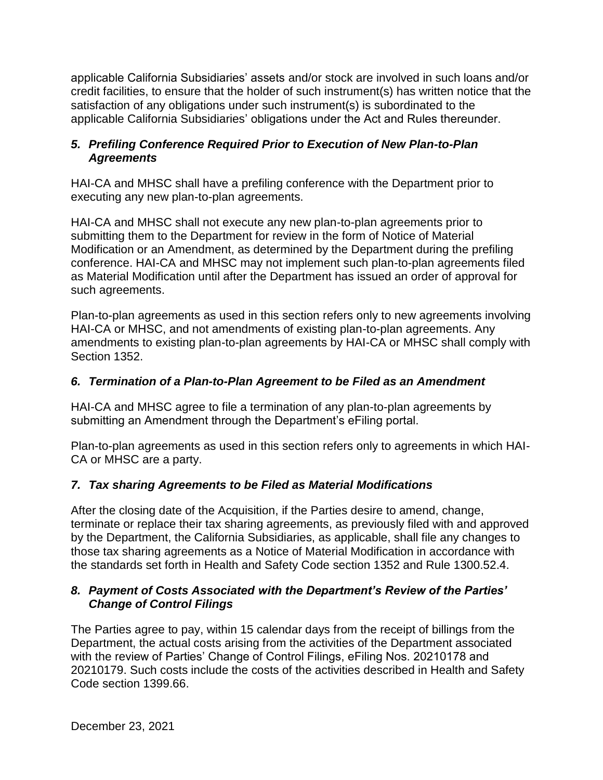credit facilities, to ensure that the holder of such instrument(s) has written notice that the applicable California Subsidiaries' assets and/or stock are involved in such loans and/or satisfaction of any obligations under such instrument(s) is subordinated to the applicable California Subsidiaries' obligations under the Act and Rules thereunder.

## *5. Prefiling Conference Required Prior to Execution of New Plan-to-Plan Agreements*

HAI-CA and MHSC shall have a prefiling conference with the Department prior to executing any new plan-to-plan agreements.

 submitting them to the Department for review in the form of Notice of Material HAI-CA and MHSC shall not execute any new plan-to-plan agreements prior to Modification or an Amendment, as determined by the Department during the prefiling conference. HAI-CA and MHSC may not implement such plan-to-plan agreements filed as Material Modification until after the Department has issued an order of approval for such agreements.

 HAI-CA or MHSC, and not amendments of existing plan-to-plan agreements. Any Plan-to-plan agreements as used in this section refers only to new agreements involving amendments to existing plan-to-plan agreements by HAI-CA or MHSC shall comply with Section 1352.

## *6. Termination of a Plan-to-Plan Agreement to be Filed as an Amendment*

 HAI-CA and MHSC agree to file a termination of any plan-to-plan agreements by submitting an Amendment through the Department's eFiling portal.

Plan-to-plan agreements as used in this section refers only to agreements in which HAI-CA or MHSC are a party.

# *7. Tax sharing Agreements to be Filed as Material Modifications*

 terminate or replace their tax sharing agreements, as previously filed with and approved those tax sharing agreements as a Notice of Material Modification in accordance with the standards set forth in Health and Safety Code section 1352 and Rule 1300.52.4. After the closing date of the Acquisition, if the Parties desire to amend, change, by the Department, the California Subsidiaries, as applicable, shall file any changes to

## *8. Payment of Costs Associated with the Department's Review of the Parties' Change of Control Filings*

 The Parties agree to pay, within 15 calendar days from the receipt of billings from the Department, the actual costs arising from the activities of the Department associated with the review of Parties' Change of Control Filings, eFiling Nos. 20210178 and 20210179. Such costs include the costs of the activities described in Health and Safety Code section 1399.66.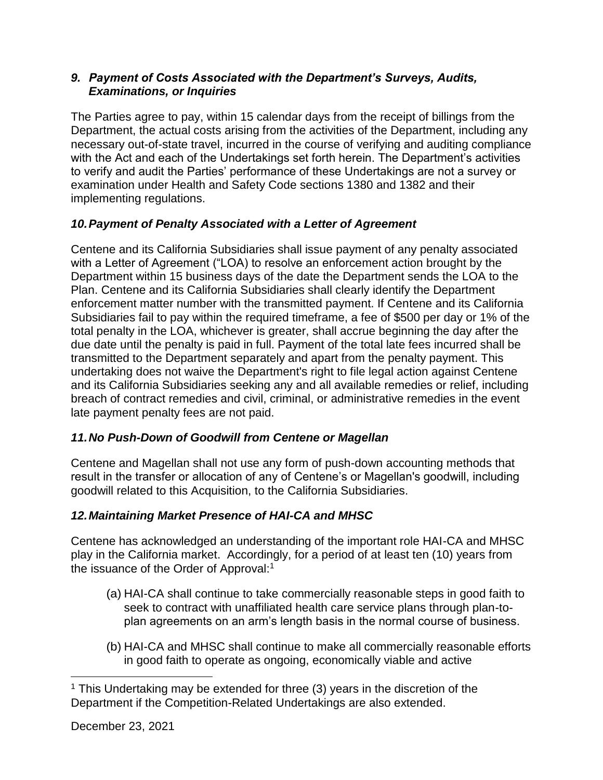### *9. Payment of Costs Associated with the Department's Surveys, Audits, Examinations, or Inquiries*

 The Parties agree to pay, within 15 calendar days from the receipt of billings from the Department, the actual costs arising from the activities of the Department, including any to verify and audit the Parties' performance of these Undertakings are not a survey or necessary out-of-state travel, incurred in the course of verifying and auditing compliance with the Act and each of the Undertakings set forth herein. The Department's activities examination under Health and Safety Code sections 1380 and 1382 and their implementing regulations.

# *10.Payment of Penalty Associated with a Letter of Agreement*

 Department within 15 business days of the date the Department sends the LOA to the Subsidiaries fail to pay within the required timeframe, a fee of \$500 per day or 1% of the Centene and its California Subsidiaries shall issue payment of any penalty associated with a Letter of Agreement ("LOA) to resolve an enforcement action brought by the Plan. Centene and its California Subsidiaries shall clearly identify the Department enforcement matter number with the transmitted payment. If Centene and its California total penalty in the LOA, whichever is greater, shall accrue beginning the day after the due date until the penalty is paid in full. Payment of the total late fees incurred shall be transmitted to the Department separately and apart from the penalty payment. This undertaking does not waive the Department's right to file legal action against Centene and its California Subsidiaries seeking any and all available remedies or relief, including breach of contract remedies and civil, criminal, or administrative remedies in the event late payment penalty fees are not paid.

# *11.No Push-Down of Goodwill from Centene or Magellan*

Centene and Magellan shall not use any form of push-down accounting methods that result in the transfer or allocation of any of Centene's or Magellan's goodwill, including goodwill related to this Acquisition, to the California Subsidiaries.

# *12.Maintaining Market Presence of HAI-CA and MHSC*

 play in the California market. Accordingly, for a period of at least ten (10) years from Centene has acknowledged an understanding of the important role HAI-CA and MHSC the issuance of the Order of Approval:<sup>1</sup>

- (a) HAI-CA shall continue to take commercially reasonable steps in good faith to seek to contract with unaffiliated health care service plans through plan-toplan agreements on an arm's length basis in the normal course of business.
- in good faith to operate as ongoing, economically viable and active (b) HAI-CA and MHSC shall continue to make all commercially reasonable efforts

 $\overline{a}$  $1$  This Undertaking may be extended for three (3) years in the discretion of the Department if the Competition-Related Undertakings are also extended.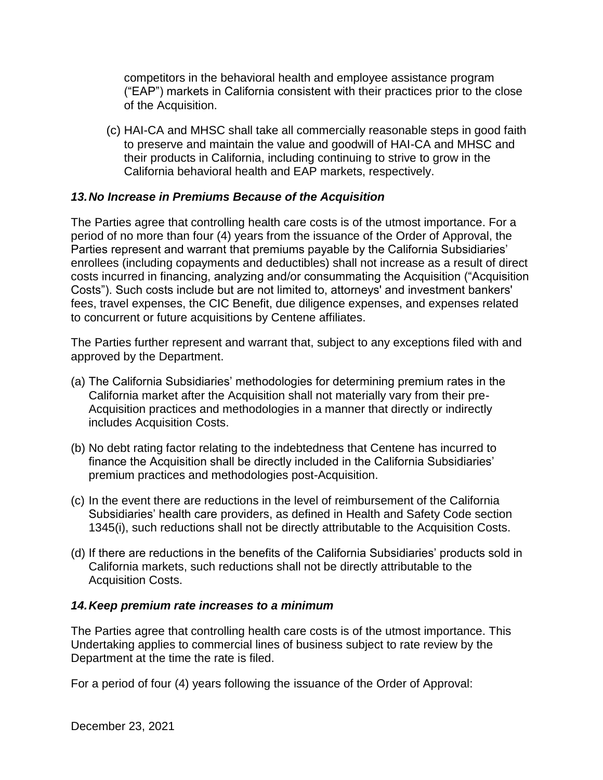("EAP") markets in California consistent with their practices prior to the close competitors in the behavioral health and employee assistance program of the Acquisition.

 (c) HAI-CA and MHSC shall take all commercially reasonable steps in good faith California behavioral health and EAP markets, respectively. to preserve and maintain the value and goodwill of HAI-CA and MHSC and their products in California, including continuing to strive to grow in the

#### *13.No Increase in Premiums Because of the Acquisition*

 period of no more than four (4) years from the issuance of the Order of Approval, the The Parties agree that controlling health care costs is of the utmost importance. For a Parties represent and warrant that premiums payable by the California Subsidiaries' enrollees (including copayments and deductibles) shall not increase as a result of direct costs incurred in financing, analyzing and/or consummating the Acquisition ("Acquisition Costs"). Such costs include but are not limited to, attorneys' and investment bankers' fees, travel expenses, the CIC Benefit, due diligence expenses, and expenses related to concurrent or future acquisitions by Centene affiliates.

The Parties further represent and warrant that, subject to any exceptions filed with and approved by the Department.

- (a) The California Subsidiaries' methodologies for determining premium rates in the California market after the Acquisition shall not materially vary from their pre-Acquisition practices and methodologies in a manner that directly or indirectly includes Acquisition Costs.
- (b) No debt rating factor relating to the indebtedness that Centene has incurred to finance the Acquisition shall be directly included in the California Subsidiaries' premium practices and methodologies post-Acquisition.
- (c) In the event there are reductions in the level of reimbursement of the California Subsidiaries' health care providers, as defined in Health and Safety Code section 1345(i), such reductions shall not be directly attributable to the Acquisition Costs.
- California markets, such reductions shall not be directly attributable to the (d) If there are reductions in the benefits of the California Subsidiaries' products sold in Acquisition Costs.

## *14.Keep premium rate increases to a minimum*

The Parties agree that controlling health care costs is of the utmost importance. This Undertaking applies to commercial lines of business subject to rate review by the Department at the time the rate is filed.

For a period of four (4) years following the issuance of the Order of Approval: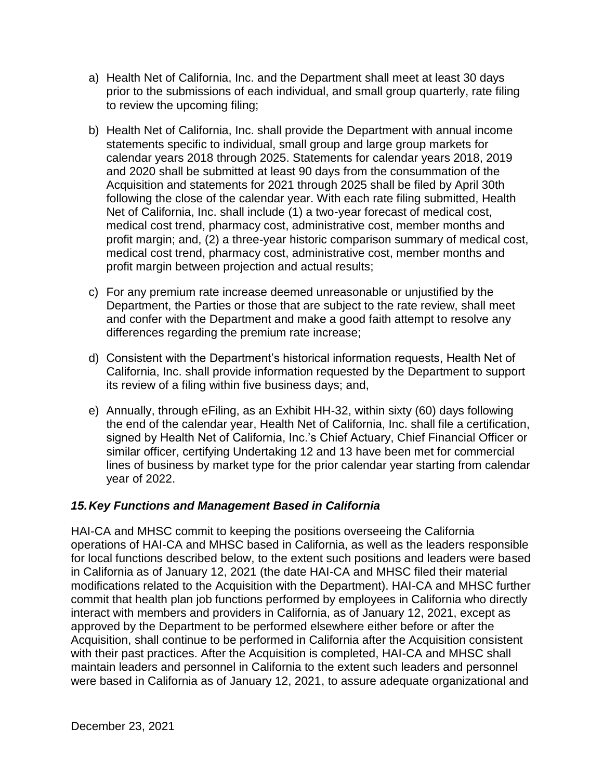- prior to the submissions of each individual, and small group quarterly, rate filing a) Health Net of California, Inc. and the Department shall meet at least 30 days to review the upcoming filing;
- and 2020 shall be submitted at least 90 days from the consummation of the Acquisition and statements for 2021 through 2025 shall be filed by April 30th b) Health Net of California, Inc. shall provide the Department with annual income statements specific to individual, small group and large group markets for calendar years 2018 through 2025. Statements for calendar years 2018, 2019 following the close of the calendar year. With each rate filing submitted, Health Net of California, Inc. shall include (1) a two-year forecast of medical cost, medical cost trend, pharmacy cost, administrative cost, member months and profit margin; and, (2) a three-year historic comparison summary of medical cost, medical cost trend, pharmacy cost, administrative cost, member months and profit margin between projection and actual results;
- c) For any premium rate increase deemed unreasonable or unjustified by the and confer with the Department and make a good faith attempt to resolve any Department, the Parties or those that are subject to the rate review, shall meet differences regarding the premium rate increase;
- its review of a filing within five business days; and, d) Consistent with the Department's historical information requests, Health Net of California, Inc. shall provide information requested by the Department to support
- the end of the calendar year, Health Net of California, Inc. shall file a certification, similar officer, certifying Undertaking 12 and 13 have been met for commercial e) Annually, through eFiling, as an Exhibit HH-32, within sixty (60) days following signed by Health Net of California, Inc.'s Chief Actuary, Chief Financial Officer or lines of business by market type for the prior calendar year starting from calendar year of 2022.

## *15.Key Functions and Management Based in California*

 HAI-CA and MHSC commit to keeping the positions overseeing the California Acquisition, shall continue to be performed in California after the Acquisition consistent operations of HAI-CA and MHSC based in California, as well as the leaders responsible for local functions described below, to the extent such positions and leaders were based in California as of January 12, 2021 (the date HAI-CA and MHSC filed their material modifications related to the Acquisition with the Department). HAI-CA and MHSC further commit that health plan job functions performed by employees in California who directly interact with members and providers in California, as of January 12, 2021, except as approved by the Department to be performed elsewhere either before or after the with their past practices. After the Acquisition is completed, HAI-CA and MHSC shall maintain leaders and personnel in California to the extent such leaders and personnel were based in California as of January 12, 2021, to assure adequate organizational and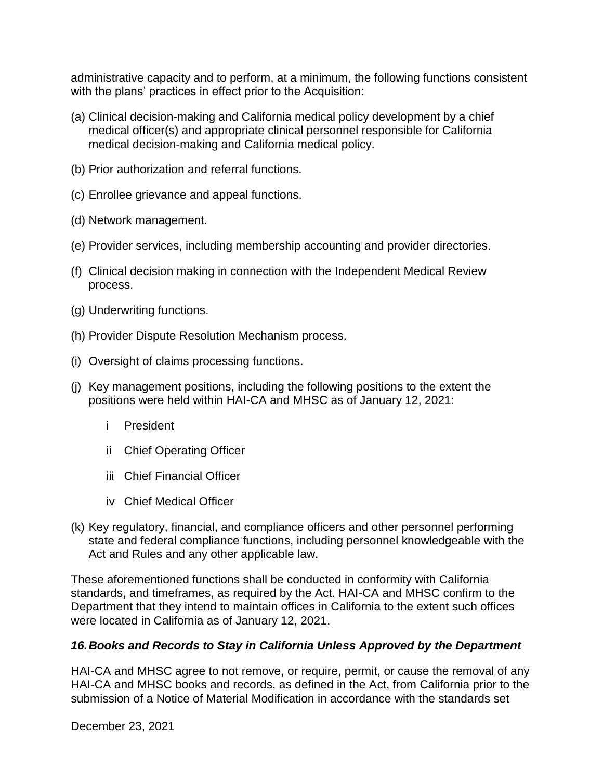administrative capacity and to perform, at a minimum, the following functions consistent with the plans' practices in effect prior to the Acquisition:

- (a) Clinical decision-making and California medical policy development by a chief medical officer(s) and appropriate clinical personnel responsible for California medical decision-making and California medical policy.
- (b) Prior authorization and referral functions.
- (c) Enrollee grievance and appeal functions.
- (d) Network management.
- (e) Provider services, including membership accounting and provider directories.
- (f) Clinical decision making in connection with the Independent Medical Review process.
- (g) Underwriting functions.
- (h) Provider Dispute Resolution Mechanism process.
- (i) Oversight of claims processing functions.
- (j) Key management positions, including the following positions to the extent the positions were held within HAI-CA and MHSC as of January 12, 2021:
	- i President
	- ii Chief Operating Officer
	- iii Chief Financial Officer
	- iv Chief Medical Officer
- state and federal compliance functions, including personnel knowledgeable with the (k) Key regulatory, financial, and compliance officers and other personnel performing Act and Rules and any other applicable law.

 standards, and timeframes, as required by the Act. HAI-CA and MHSC confirm to the Department that they intend to maintain offices in California to the extent such offices These aforementioned functions shall be conducted in conformity with California were located in California as of January 12, 2021.

#### *16.Books and Records to Stay in California Unless Approved by the Department*

HAI-CA and MHSC agree to not remove, or require, permit, or cause the removal of any HAI-CA and MHSC books and records, as defined in the Act, from California prior to the submission of a Notice of Material Modification in accordance with the standards set

December 23, 2021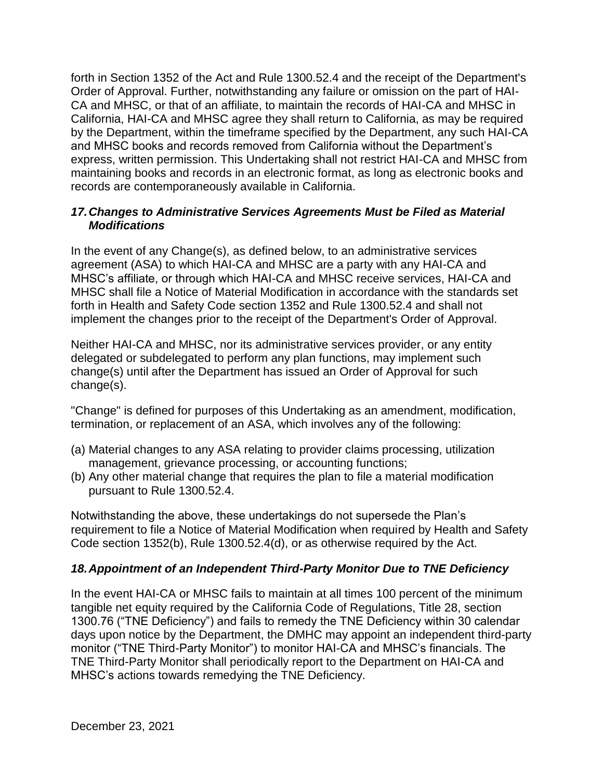forth in Section 1352 of the Act and Rule 1300.52.4 and the receipt of the Department's Order of Approval. Further, notwithstanding any failure or omission on the part of HAI- and MHSC books and records removed from California without the Department's CA and MHSC, or that of an affiliate, to maintain the records of HAI-CA and MHSC in California, HAI-CA and MHSC agree they shall return to California, as may be required by the Department, within the timeframe specified by the Department, any such HAI-CA express, written permission. This Undertaking shall not restrict HAI-CA and MHSC from maintaining books and records in an electronic format, as long as electronic books and records are contemporaneously available in California.

#### *17.Changes to Administrative Services Agreements Must be Filed as Material Modifications*

 forth in Health and Safety Code section 1352 and Rule 1300.52.4 and shall not implement the changes prior to the receipt of the Department's Order of Approval. In the event of any Change(s), as defined below, to an administrative services agreement (ASA) to which HAI-CA and MHSC are a party with any HAI-CA and MHSC's affiliate, or through which HAI-CA and MHSC receive services, HAI-CA and MHSC shall file a Notice of Material Modification in accordance with the standards set

Neither HAI-CA and MHSC, nor its administrative services provider, or any entity delegated or subdelegated to perform any plan functions, may implement such change(s) until after the Department has issued an Order of Approval for such change(s).

"Change" is defined for purposes of this Undertaking as an amendment, modification, termination, or replacement of an ASA, which involves any of the following:

- (a) Material changes to any ASA relating to provider claims processing, utilization management, grievance processing, or accounting functions;
- (b) Any other material change that requires the plan to file a material modification pursuant to Rule 1300.52.4.

Notwithstanding the above, these undertakings do not supersede the Plan's requirement to file a Notice of Material Modification when required by Health and Safety Code section 1352(b), Rule 1300.52.4(d), or as otherwise required by the Act.

## *18.Appointment of an Independent Third-Party Monitor Due to TNE Deficiency*

 In the event HAI-CA or MHSC fails to maintain at all times 100 percent of the minimum tangible net equity required by the California Code of Regulations, Title 28, section 1300.76 ("TNE Deficiency") and fails to remedy the TNE Deficiency within 30 calendar days upon notice by the Department, the DMHC may appoint an independent third-party monitor ("TNE Third-Party Monitor") to monitor HAI-CA and MHSC's financials. The TNE Third-Party Monitor shall periodically report to the Department on HAI-CA and MHSC's actions towards remedying the TNE Deficiency.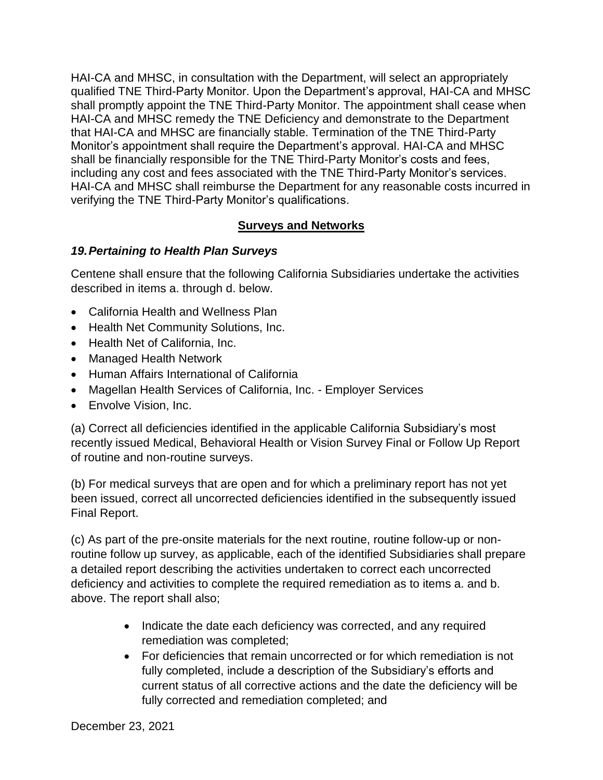shall promptly appoint the TNE Third-Party Monitor. The appointment shall cease when that HAI-CA and MHSC are financially stable. Termination of the TNE Third-Party shall be financially responsible for the TNE Third-Party Monitor's costs and fees, HAI-CA and MHSC, in consultation with the Department, will select an appropriately qualified TNE Third-Party Monitor. Upon the Department's approval, HAI-CA and MHSC HAI-CA and MHSC remedy the TNE Deficiency and demonstrate to the Department Monitor's appointment shall require the Department's approval. HAI-CA and MHSC including any cost and fees associated with the TNE Third-Party Monitor's services. HAI-CA and MHSC shall reimburse the Department for any reasonable costs incurred in verifying the TNE Third-Party Monitor's qualifications.

## **Surveys and Networks**

## *19.Pertaining to Health Plan Surveys*

Centene shall ensure that the following California Subsidiaries undertake the activities described in items a. through d. below.

- California Health and Wellness Plan
- Health Net Community Solutions, Inc.
- Health Net of California, Inc.
- Managed Health Network
- Human Affairs International of California
- Magellan Health Services of California, Inc. Employer Services
- Envolve Vision, Inc.

(a) Correct all deficiencies identified in the applicable California Subsidiary's most recently issued Medical, Behavioral Health or Vision Survey Final or Follow Up Report of routine and non-routine surveys.

(b) For medical surveys that are open and for which a preliminary report has not yet been issued, correct all uncorrected deficiencies identified in the subsequently issued Final Report.

(c) As part of the pre-onsite materials for the next routine, routine follow-up or nonroutine follow up survey, as applicable, each of the identified Subsidiaries shall prepare a detailed report describing the activities undertaken to correct each uncorrected deficiency and activities to complete the required remediation as to items a. and b. above. The report shall also;

- • Indicate the date each deficiency was corrected, and any required remediation was completed;
- fully corrected and remediation completed; and December 23, 2021 • For deficiencies that remain uncorrected or for which remediation is not fully completed, include a description of the Subsidiary's efforts and current status of all corrective actions and the date the deficiency will be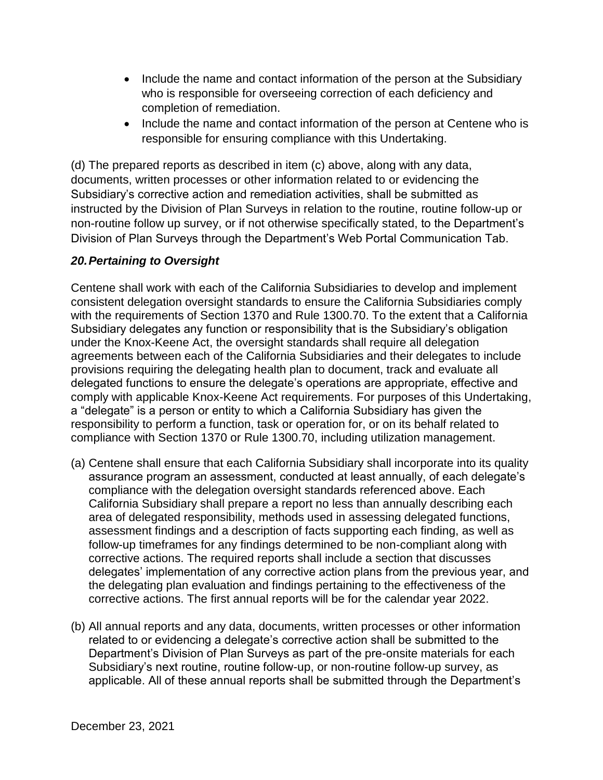- • Include the name and contact information of the person at the Subsidiary who is responsible for overseeing correction of each deficiency and completion of remediation.
- • Include the name and contact information of the person at Centene who is responsible for ensuring compliance with this Undertaking.

(d) The prepared reports as described in item (c) above, along with any data, documents, written processes or other information related to or evidencing the Subsidiary's corrective action and remediation activities, shall be submitted as instructed by the Division of Plan Surveys in relation to the routine, routine follow-up or non-routine follow up survey, or if not otherwise specifically stated, to the Department's Division of Plan Surveys through the Department's Web Portal Communication Tab.

### *20.Pertaining to Oversight*

 with the requirements of Section 1370 and Rule 1300.70. To the extent that a California under the Knox-Keene Act, the oversight standards shall require all delegation Centene shall work with each of the California Subsidiaries to develop and implement consistent delegation oversight standards to ensure the California Subsidiaries comply Subsidiary delegates any function or responsibility that is the Subsidiary's obligation agreements between each of the California Subsidiaries and their delegates to include provisions requiring the delegating health plan to document, track and evaluate all delegated functions to ensure the delegate's operations are appropriate, effective and comply with applicable Knox-Keene Act requirements. For purposes of this Undertaking, a "delegate" is a person or entity to which a California Subsidiary has given the responsibility to perform a function, task or operation for, or on its behalf related to compliance with Section 1370 or Rule 1300.70, including utilization management.

- assurance program an assessment, conducted at least annually, of each delegate's assessment findings and a description of facts supporting each finding, as well as follow-up timeframes for any findings determined to be non-compliant along with delegates' implementation of any corrective action plans from the previous year, and (a) Centene shall ensure that each California Subsidiary shall incorporate into its quality compliance with the delegation oversight standards referenced above. Each California Subsidiary shall prepare a report no less than annually describing each area of delegated responsibility, methods used in assessing delegated functions, corrective actions. The required reports shall include a section that discusses the delegating plan evaluation and findings pertaining to the effectiveness of the corrective actions. The first annual reports will be for the calendar year 2022.
- related to or evidencing a delegate's corrective action shall be submitted to the (b) All annual reports and any data, documents, written processes or other information Department's Division of Plan Surveys as part of the pre-onsite materials for each Subsidiary's next routine, routine follow-up, or non-routine follow-up survey, as applicable. All of these annual reports shall be submitted through the Department's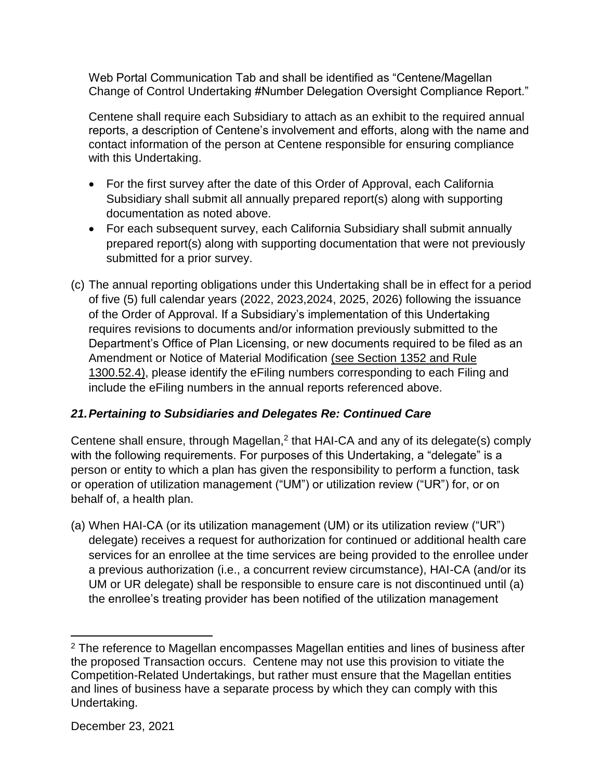Web Portal Communication Tab and shall be identified as "Centene/Magellan Change of Control Undertaking #Number Delegation Oversight Compliance Report."

 Centene shall require each Subsidiary to attach as an exhibit to the required annual reports, a description of Centene's involvement and efforts, along with the name and contact information of the person at Centene responsible for ensuring compliance with this Undertaking.

- documentation as noted above. • For the first survey after the date of this Order of Approval, each California Subsidiary shall submit all annually prepared report(s) along with supporting
- For each subsequent survey, each California Subsidiary shall submit annually prepared report(s) along with supporting documentation that were not previously submitted for a prior survey.
- (c) The annual reporting obligations under this Undertaking shall be in effect for a period Department's Office of Plan Licensing, or new documents required to be filed as an include the eFiling numbers in the annual reports referenced above. of five (5) full calendar years (2022, 2023,2024, 2025, 2026) following the issuance of the Order of Approval. If a Subsidiary's implementation of this Undertaking requires revisions to documents and/or information previously submitted to the Amendment or Notice of Material Modification (see Section 1352 and Rule 1300.52.4), please identify the eFiling numbers corresponding to each Filing and

# *21.Pertaining to Subsidiaries and Delegates Re: Continued Care*

Centene shall ensure, through Magellan,<sup>2</sup> that HAI-CA and any of its delegate(s) comply with the following requirements. For purposes of this Undertaking, a "delegate" is a person or entity to which a plan has given the responsibility to perform a function, task or operation of utilization management ("UM") or utilization review ("UR") for, or on behalf of, a health plan.

(a) When HAI-CA (or its utilization management (UM) or its utilization review ("UR") delegate) receives a request for authorization for continued or additional health care services for an enrollee at the time services are being provided to the enrollee under a previous authorization (i.e., a concurrent review circumstance), HAI-CA (and/or its UM or UR delegate) shall be responsible to ensure care is not discontinued until (a) the enrollee's treating provider has been notified of the utilization management

 $\overline{a}$ 

 the proposed Transaction occurs. Centene may not use this provision to vitiate the  $2$  The reference to Magellan encompasses Magellan entities and lines of business after Competition-Related Undertakings, but rather must ensure that the Magellan entities and lines of business have a separate process by which they can comply with this Undertaking.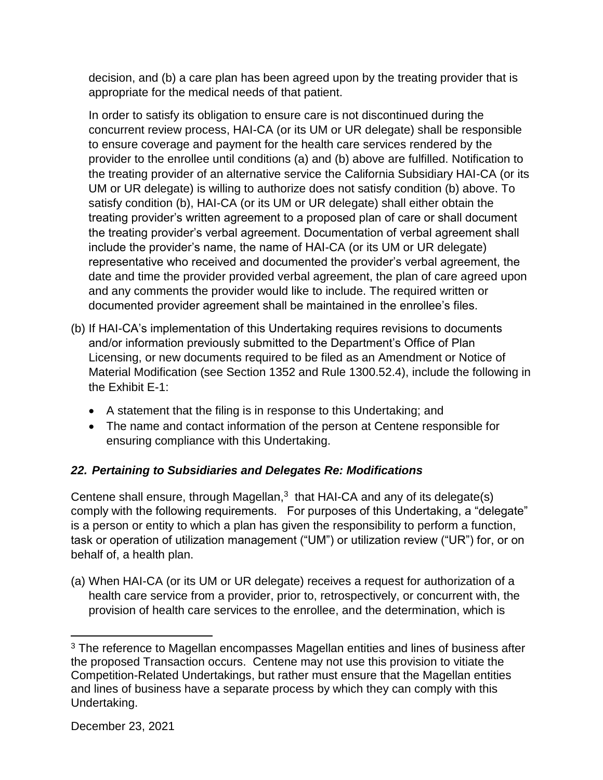decision, and (b) a care plan has been agreed upon by the treating provider that is appropriate for the medical needs of that patient.

In order to satisfy its obligation to ensure care is not discontinued during the concurrent review process, HAI-CA (or its UM or UR delegate) shall be responsible to ensure coverage and payment for the health care services rendered by the provider to the enrollee until conditions (a) and (b) above are fulfilled. Notification to the treating provider of an alternative service the California Subsidiary HAI-CA (or its UM or UR delegate) is willing to authorize does not satisfy condition (b) above. To satisfy condition (b), HAI-CA (or its UM or UR delegate) shall either obtain the treating provider's written agreement to a proposed plan of care or shall document the treating provider's verbal agreement. Documentation of verbal agreement shall include the provider's name, the name of HAI-CA (or its UM or UR delegate) representative who received and documented the provider's verbal agreement, the date and time the provider provided verbal agreement, the plan of care agreed upon and any comments the provider would like to include. The required written or documented provider agreement shall be maintained in the enrollee's files.

- (b) If HAI-CA's implementation of this Undertaking requires revisions to documents and/or information previously submitted to the Department's Office of Plan Licensing, or new documents required to be filed as an Amendment or Notice of Material Modification (see Section 1352 and Rule 1300.52.4), include the following in the Exhibit E-1:
	- A statement that the filing is in response to this Undertaking; and
	- • The name and contact information of the person at Centene responsible for ensuring compliance with this Undertaking.

# *22. Pertaining to Subsidiaries and Delegates Re: Modifications*

Centene shall ensure, through Magellan, $3$  that HAI-CA and any of its delegate(s) comply with the following requirements. For purposes of this Undertaking, a "delegate" is a person or entity to which a plan has given the responsibility to perform a function, task or operation of utilization management ("UM") or utilization review ("UR") for, or on behalf of, a health plan.

 (a) When HAI-CA (or its UM or UR delegate) receives a request for authorization of a health care service from a provider, prior to, retrospectively, or concurrent with, the provision of health care services to the enrollee, and the determination, which is

 $\overline{a}$ 

 the proposed Transaction occurs. Centene may not use this provision to vitiate the <sup>3</sup> The reference to Magellan encompasses Magellan entities and lines of business after Competition-Related Undertakings, but rather must ensure that the Magellan entities and lines of business have a separate process by which they can comply with this Undertaking.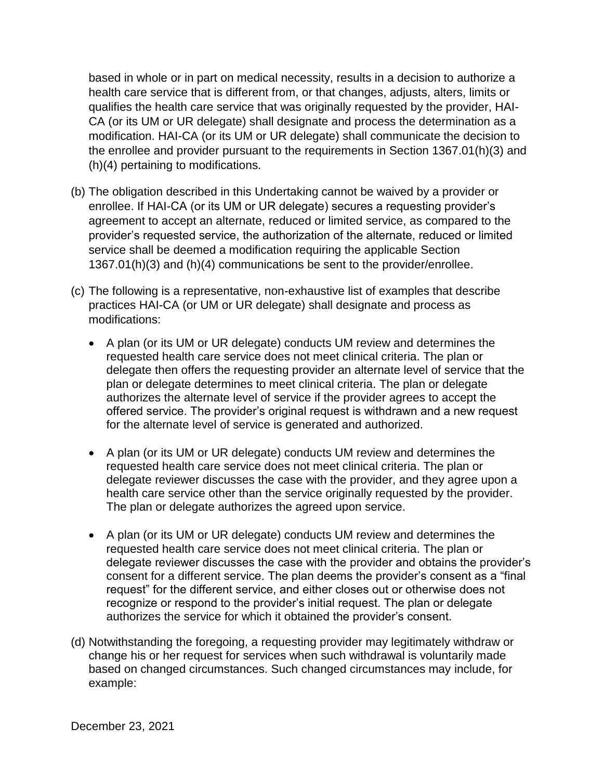modification. HAI-CA (or its UM or UR delegate) shall communicate the decision to based in whole or in part on medical necessity, results in a decision to authorize a health care service that is different from, or that changes, adjusts, alters, limits or qualifies the health care service that was originally requested by the provider, HAI-CA (or its UM or UR delegate) shall designate and process the determination as a the enrollee and provider pursuant to the requirements in Section 1367.01(h)(3) and (h)(4) pertaining to modifications.

- (b) The obligation described in this Undertaking cannot be waived by a provider or enrollee. If HAI-CA (or its UM or UR delegate) secures a requesting provider's agreement to accept an alternate, reduced or limited service, as compared to the provider's requested service, the authorization of the alternate, reduced or limited service shall be deemed a modification requiring the applicable Section 1367.01(h)(3) and (h)(4) communications be sent to the provider/enrollee.
- (c) The following is a representative, non-exhaustive list of examples that describe practices HAI-CA (or UM or UR delegate) shall designate and process as modifications:
	- plan or delegate determines to meet clinical criteria. The plan or delegate authorizes the alternate level of service if the provider agrees to accept the for the alternate level of service is generated and authorized. • A plan (or its UM or UR delegate) conducts UM review and determines the requested health care service does not meet clinical criteria. The plan or delegate then offers the requesting provider an alternate level of service that the offered service. The provider's original request is withdrawn and a new request
	- delegate reviewer discusses the case with the provider, and they agree upon a The plan or delegate authorizes the agreed upon service. • A plan (or its UM or UR delegate) conducts UM review and determines the requested health care service does not meet clinical criteria. The plan or health care service other than the service originally requested by the provider.
	- delegate reviewer discusses the case with the provider and obtains the provider's recognize or respond to the provider's initial request. The plan or delegate • A plan (or its UM or UR delegate) conducts UM review and determines the requested health care service does not meet clinical criteria. The plan or consent for a different service. The plan deems the provider's consent as a "final request" for the different service, and either closes out or otherwise does not authorizes the service for which it obtained the provider's consent.
- (d) Notwithstanding the foregoing, a requesting provider may legitimately withdraw or change his or her request for services when such withdrawal is voluntarily made based on changed circumstances. Such changed circumstances may include, for example: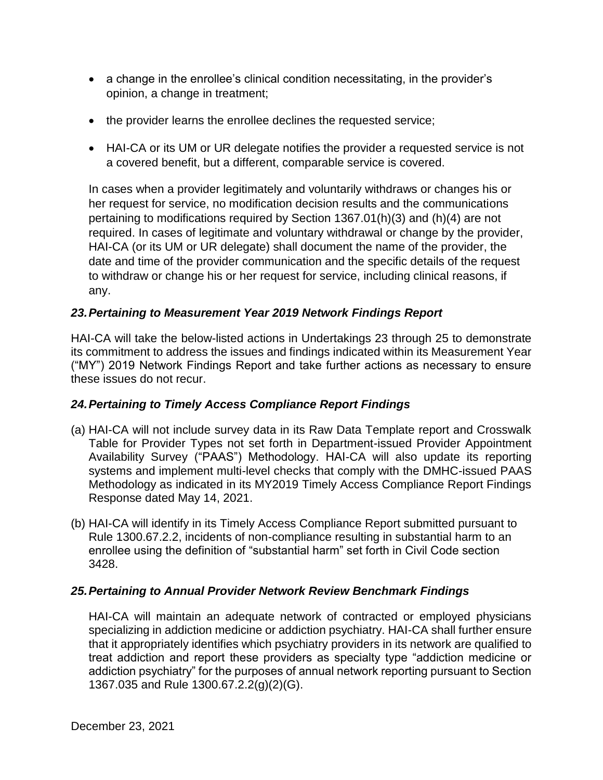- a change in the enrollee's clinical condition necessitating, in the provider's opinion, a change in treatment;
- the provider learns the enrollee declines the requested service;
- • HAI-CA or its UM or UR delegate notifies the provider a requested service is not a covered benefit, but a different, comparable service is covered.

 HAI-CA (or its UM or UR delegate) shall document the name of the provider, the date and time of the provider communication and the specific details of the request In cases when a provider legitimately and voluntarily withdraws or changes his or her request for service, no modification decision results and the communications pertaining to modifications required by Section 1367.01(h)(3) and (h)(4) are not required. In cases of legitimate and voluntary withdrawal or change by the provider, to withdraw or change his or her request for service, including clinical reasons, if any.

## *23.Pertaining to Measurement Year 2019 Network Findings Report*

 HAI-CA will take the below-listed actions in Undertakings 23 through 25 to demonstrate its commitment to address the issues and findings indicated within its Measurement Year ("MY") 2019 Network Findings Report and take further actions as necessary to ensure these issues do not recur.

## *24.Pertaining to Timely Access Compliance Report Findings*

- (a) HAI-CA will not include survey data in its Raw Data Template report and Crosswalk Table for Provider Types not set forth in Department-issued Provider Appointment Availability Survey ("PAAS") Methodology. HAI-CA will also update its reporting systems and implement multi-level checks that comply with the DMHC-issued PAAS Methodology as indicated in its MY2019 Timely Access Compliance Report Findings Response dated May 14, 2021.
- (b) HAI-CA will identify in its Timely Access Compliance Report submitted pursuant to Rule 1300.67.2.2, incidents of non-compliance resulting in substantial harm to an enrollee using the definition of "substantial harm" set forth in Civil Code section 3428.

## *25.Pertaining to Annual Provider Network Review Benchmark Findings*

 HAI-CA will maintain an adequate network of contracted or employed physicians specializing in addiction medicine or addiction psychiatry. HAI-CA shall further ensure that it appropriately identifies which psychiatry providers in its network are qualified to treat addiction and report these providers as specialty type "addiction medicine or addiction psychiatry" for the purposes of annual network reporting pursuant to Section 1367.035 and Rule 1300.67.2.2(g)(2)(G).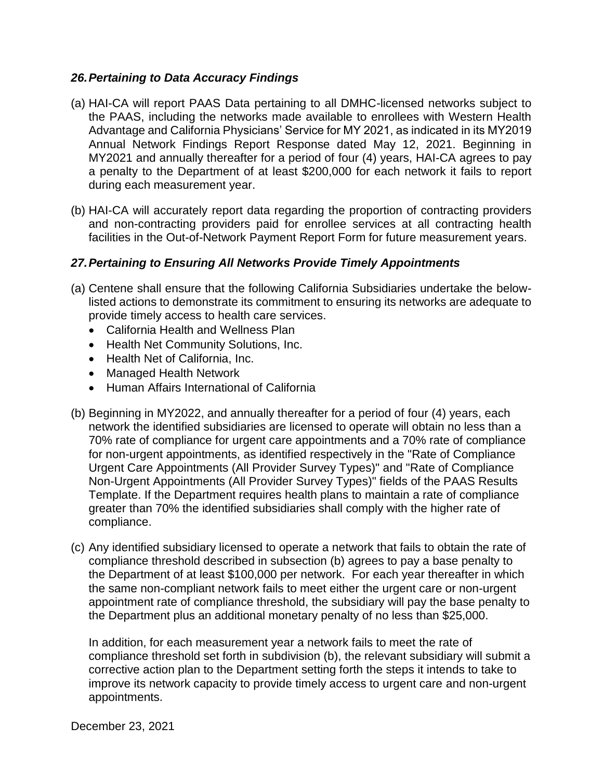#### *26.Pertaining to Data Accuracy Findings*

- (a) HAI-CA will report PAAS Data pertaining to all DMHC-licensed networks subject to the PAAS, including the networks made available to enrollees with Western Health Advantage and California Physicians' Service for MY 2021, as indicated in its MY2019 Annual Network Findings Report Response dated May 12, 2021. Beginning in MY2021 and annually thereafter for a period of four (4) years, HAI-CA agrees to pay a penalty to the Department of at least \$200,000 for each network it fails to report during each measurement year.
- (b) HAI-CA will accurately report data regarding the proportion of contracting providers and non-contracting providers paid for enrollee services at all contracting health facilities in the Out-of-Network Payment Report Form for future measurement years.

### *27.Pertaining to Ensuring All Networks Provide Timely Appointments*

- (a) Centene shall ensure that the following California Subsidiaries undertake the below- listed actions to demonstrate its commitment to ensuring its networks are adequate to provide timely access to health care services.
	- California Health and Wellness Plan
	- Health Net Community Solutions, Inc.
	- Health Net of California, Inc.
	- Managed Health Network
	- Human Affairs International of California
- (b) Beginning in MY2022, and annually thereafter for a period of four (4) years, each network the identified subsidiaries are licensed to operate will obtain no less than a Urgent Care Appointments (All Provider Survey Types)" and "Rate of Compliance 70% rate of compliance for urgent care appointments and a 70% rate of compliance for non-urgent appointments, as identified respectively in the "Rate of Compliance Non-Urgent Appointments (All Provider Survey Types)" fields of the PAAS Results Template. If the Department requires health plans to maintain a rate of compliance greater than 70% the identified subsidiaries shall comply with the higher rate of compliance.
- (c) Any identified subsidiary licensed to operate a network that fails to obtain the rate of compliance threshold described in subsection (b) agrees to pay a base penalty to the Department of at least \$100,000 per network. For each year thereafter in which the same non-compliant network fails to meet either the urgent care or non-urgent appointment rate of compliance threshold, the subsidiary will pay the base penalty to the Department plus an additional monetary penalty of no less than \$25,000.

 In addition, for each measurement year a network fails to meet the rate of corrective action plan to the Department setting forth the steps it intends to take to compliance threshold set forth in subdivision (b), the relevant subsidiary will submit a improve its network capacity to provide timely access to urgent care and non-urgent appointments.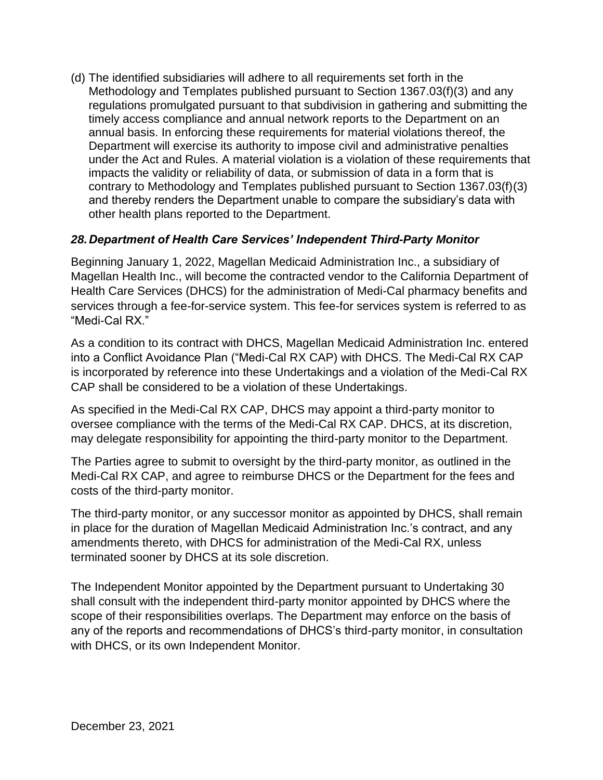(d) The identified subsidiaries will adhere to all requirements set forth in the impacts the validity or reliability of data, or submission of data in a form that is Methodology and Templates published pursuant to Section 1367.03(f)(3) and any regulations promulgated pursuant to that subdivision in gathering and submitting the timely access compliance and annual network reports to the Department on an annual basis. In enforcing these requirements for material violations thereof, the Department will exercise its authority to impose civil and administrative penalties under the Act and Rules. A material violation is a violation of these requirements that contrary to Methodology and Templates published pursuant to Section 1367.03(f)(3) and thereby renders the Department unable to compare the subsidiary's data with other health plans reported to the Department.

## *28.Department of Health Care Services' Independent Third-Party Monitor*

Beginning January 1, 2022, Magellan Medicaid Administration Inc., a subsidiary of Magellan Health Inc., will become the contracted vendor to the California Department of Health Care Services (DHCS) for the administration of Medi-Cal pharmacy benefits and services through a fee-for-service system. This fee-for services system is referred to as "Medi-Cal RX."

 is incorporated by reference into these Undertakings and a violation of the Medi-Cal RX As a condition to its contract with DHCS, Magellan Medicaid Administration Inc. entered into a Conflict Avoidance Plan ("Medi-Cal RX CAP) with DHCS. The Medi-Cal RX CAP CAP shall be considered to be a violation of these Undertakings.

As specified in the Medi-Cal RX CAP, DHCS may appoint a third-party monitor to oversee compliance with the terms of the Medi-Cal RX CAP. DHCS, at its discretion, may delegate responsibility for appointing the third-party monitor to the Department.

 Medi-Cal RX CAP, and agree to reimburse DHCS or the Department for the fees and The Parties agree to submit to oversight by the third-party monitor, as outlined in the costs of the third-party monitor.

 in place for the duration of Magellan Medicaid Administration Inc.'s contract, and any The third-party monitor, or any successor monitor as appointed by DHCS, shall remain amendments thereto, with DHCS for administration of the Medi-Cal RX, unless terminated sooner by DHCS at its sole discretion.

The Independent Monitor appointed by the Department pursuant to Undertaking 30 shall consult with the independent third-party monitor appointed by DHCS where the scope of their responsibilities overlaps. The Department may enforce on the basis of any of the reports and recommendations of DHCS's third-party monitor, in consultation with DHCS, or its own Independent Monitor.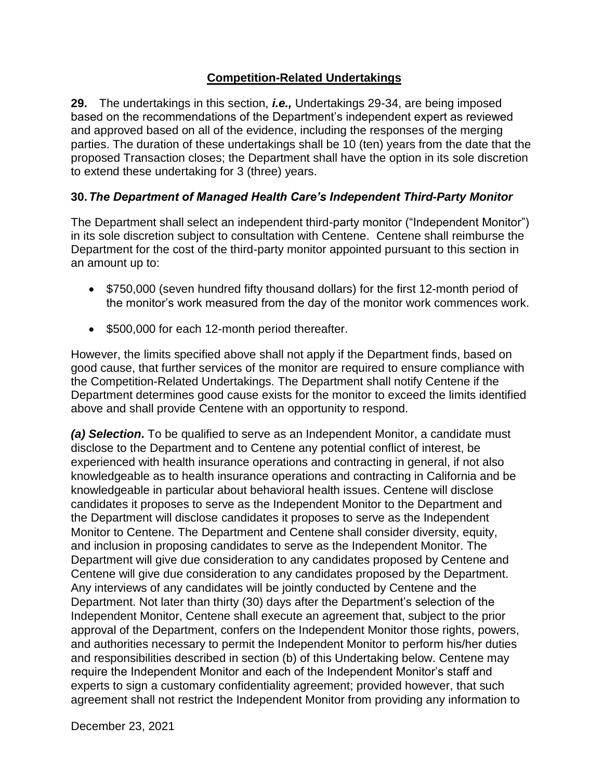## **Competition-Related Undertakings**

 **29.** The undertakings in this section, *i.e.,* Undertakings 29-34, are being imposed and approved based on all of the evidence, including the responses of the merging parties. The duration of these undertakings shall be 10 (ten) years from the date that the based on the recommendations of the Department's independent expert as reviewed proposed Transaction closes; the Department shall have the option in its sole discretion to extend these undertaking for 3 (three) years.

## **30.***The Department of Managed Health Care's Independent Third-Party Monitor*

The Department shall select an independent third-party monitor ("Independent Monitor") in its sole discretion subject to consultation with Centene. Centene shall reimburse the Department for the cost of the third-party monitor appointed pursuant to this section in an amount up to:

- \$750,000 (seven hundred fifty thousand dollars) for the first 12-month period of the monitor's work measured from the day of the monitor work commences work.
- \$500,000 for each 12-month period thereafter.

 However, the limits specified above shall not apply if the Department finds, based on the Competition-Related Undertakings. The Department shall notify Centene if the good cause, that further services of the monitor are required to ensure compliance with Department determines good cause exists for the monitor to exceed the limits identified above and shall provide Centene with an opportunity to respond.

 *(a) Selection***.** To be qualified to serve as an Independent Monitor, a candidate must knowledgeable as to health insurance operations and contracting in California and be Department will give due consideration to any candidates proposed by Centene and Centene will give due consideration to any candidates proposed by the Department. Department. Not later than thirty (30) days after the Department's selection of the and responsibilities described in section (b) of this Undertaking below. Centene may require the Independent Monitor and each of the Independent Monitor's staff and agreement shall not restrict the Independent Monitor from providing any information to disclose to the Department and to Centene any potential conflict of interest, be experienced with health insurance operations and contracting in general, if not also knowledgeable in particular about behavioral health issues. Centene will disclose candidates it proposes to serve as the Independent Monitor to the Department and the Department will disclose candidates it proposes to serve as the Independent Monitor to Centene. The Department and Centene shall consider diversity, equity, and inclusion in proposing candidates to serve as the Independent Monitor. The Any interviews of any candidates will be jointly conducted by Centene and the Independent Monitor, Centene shall execute an agreement that, subject to the prior approval of the Department, confers on the Independent Monitor those rights, powers, and authorities necessary to permit the Independent Monitor to perform his/her duties experts to sign a customary confidentiality agreement; provided however, that such

December 23, 2021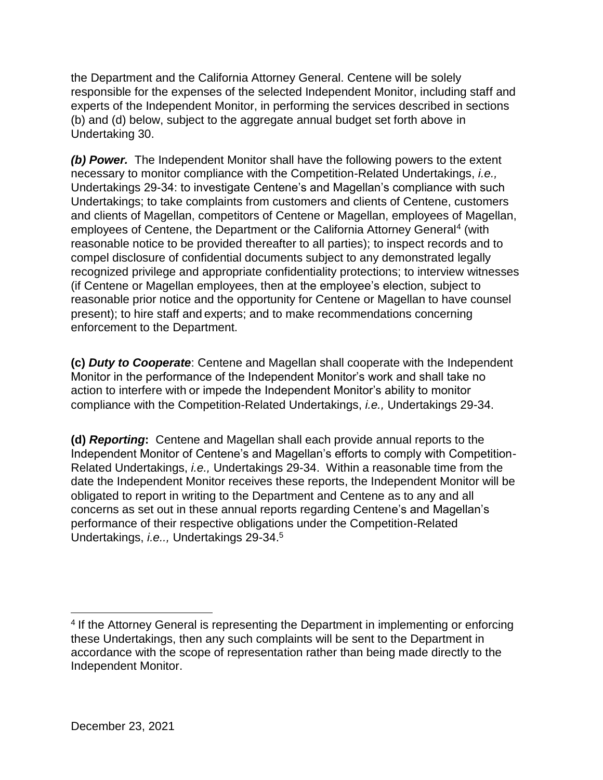responsible for the expenses of the selected Independent Monitor, including staff and (b) and (d) below, subject to the aggregate annual budget set forth above in the Department and the California Attorney General. Centene will be solely experts of the Independent Monitor, in performing the services described in sections Undertaking 30.

 compel disclosure of confidential documents subject to any demonstrated legally present); to hire staff and experts; and to make recommendations concerning *(b) Power.* The Independent Monitor shall have the following powers to the extent necessary to monitor compliance with the Competition-Related Undertakings, *i.e.,*  Undertakings 29-34: to investigate Centene's and Magellan's compliance with such Undertakings; to take complaints from customers and clients of Centene, customers and clients of Magellan, competitors of Centene or Magellan, employees of Magellan, employees of Centene, the Department or the California Attorney General<sup>4</sup> (with reasonable notice to be provided thereafter to all parties); to inspect records and to recognized privilege and appropriate confidentiality protections; to interview witnesses (if Centene or Magellan employees, then at the employee's election, subject to reasonable prior notice and the opportunity for Centene or Magellan to have counsel enforcement to the Department.

 Monitor in the performance of the Independent Monitor's work and shall take no **(c)** *Duty to Cooperate*: Centene and Magellan shall cooperate with the Independent action to interfere with or impede the Independent Monitor's ability to monitor compliance with the Competition-Related Undertakings, *i.e.,* Undertakings 29-34.

 **(d)** *Reporting***:** Centene and Magellan shall each provide annual reports to the Related Undertakings, *i.e.,* Undertakings 29-34. Within a reasonable time from the obligated to report in writing to the Department and Centene as to any and all Independent Monitor of Centene's and Magellan's efforts to comply with Competitiondate the Independent Monitor receives these reports, the Independent Monitor will be concerns as set out in these annual reports regarding Centene's and Magellan's performance of their respective obligations under the Competition-Related Undertakings, *i.e..,* Undertakings 29-34.5

 $\overline{a}$ 

<sup>&</sup>lt;sup>4</sup> If the Attorney General is representing the Department in implementing or enforcing these Undertakings, then any such complaints will be sent to the Department in accordance with the scope of representation rather than being made directly to the Independent Monitor.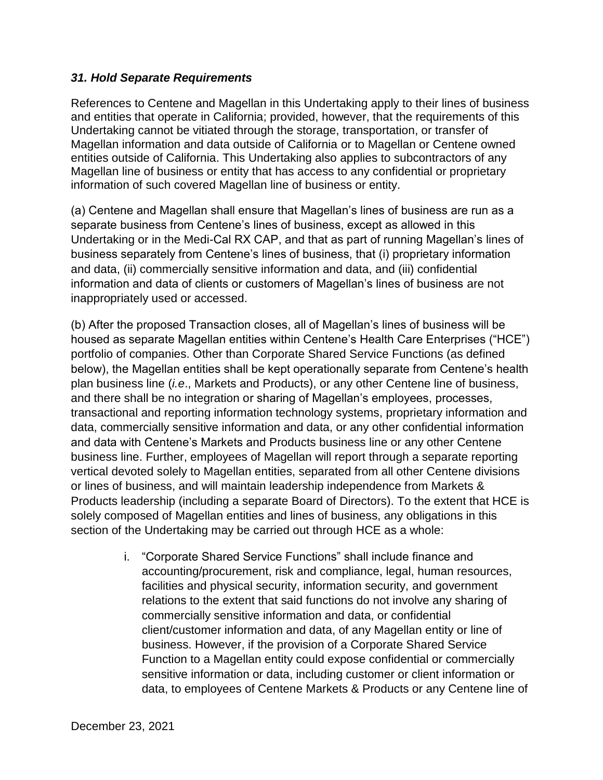### *31. Hold Separate Requirements*

 Magellan information and data outside of California or to Magellan or Centene owned References to Centene and Magellan in this Undertaking apply to their lines of business and entities that operate in California; provided, however, that the requirements of this Undertaking cannot be vitiated through the storage, transportation, or transfer of entities outside of California. This Undertaking also applies to subcontractors of any Magellan line of business or entity that has access to any confidential or proprietary information of such covered Magellan line of business or entity.

 information and data of clients or customers of Magellan's lines of business are not (a) Centene and Magellan shall ensure that Magellan's lines of business are run as a separate business from Centene's lines of business, except as allowed in this Undertaking or in the Medi-Cal RX CAP, and that as part of running Magellan's lines of business separately from Centene's lines of business, that (i) proprietary information and data, (ii) commercially sensitive information and data, and (iii) confidential inappropriately used or accessed.

 (b) After the proposed Transaction closes, all of Magellan's lines of business will be and there shall be no integration or sharing of Magellan's employees, processes, and data with Centene's Markets and Products business line or any other Centene vertical devoted solely to Magellan entities, separated from all other Centene divisions housed as separate Magellan entities within Centene's Health Care Enterprises ("HCE") portfolio of companies. Other than Corporate Shared Service Functions (as defined below), the Magellan entities shall be kept operationally separate from Centene's health plan business line (*i.e*., Markets and Products), or any other Centene line of business, transactional and reporting information technology systems, proprietary information and data, commercially sensitive information and data, or any other confidential information business line. Further, employees of Magellan will report through a separate reporting or lines of business, and will maintain leadership independence from Markets & Products leadership (including a separate Board of Directors). To the extent that HCE is solely composed of Magellan entities and lines of business, any obligations in this section of the Undertaking may be carried out through HCE as a whole:

> client/customer information and data, of any Magellan entity or line of i. "Corporate Shared Service Functions" shall include finance and accounting/procurement, risk and compliance, legal, human resources, facilities and physical security, information security, and government relations to the extent that said functions do not involve any sharing of commercially sensitive information and data, or confidential business. However, if the provision of a Corporate Shared Service Function to a Magellan entity could expose confidential or commercially sensitive information or data, including customer or client information or data, to employees of Centene Markets & Products or any Centene line of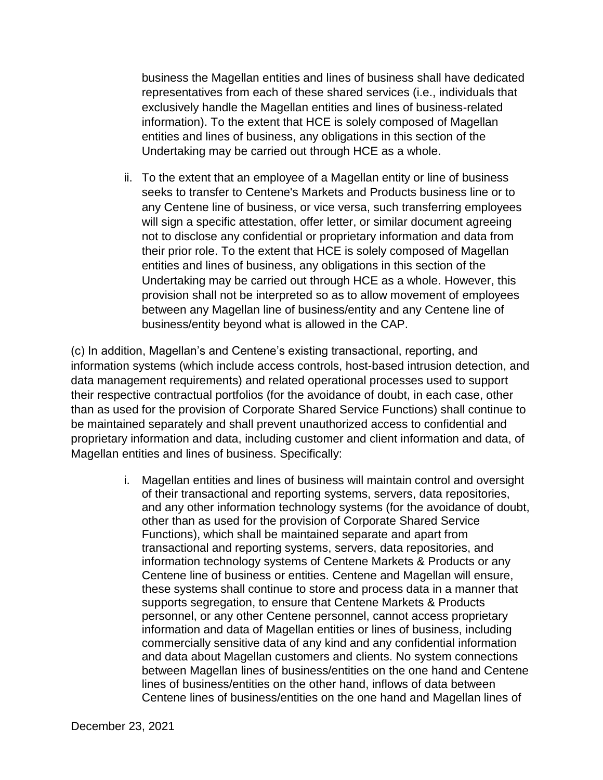entities and lines of business, any obligations in this section of the business the Magellan entities and lines of business shall have dedicated representatives from each of these shared services (i.e., individuals that exclusively handle the Magellan entities and lines of business-related information). To the extent that HCE is solely composed of Magellan Undertaking may be carried out through HCE as a whole.

 seeks to transfer to Centene's Markets and Products business line or to not to disclose any confidential or proprietary information and data from entities and lines of business, any obligations in this section of the between any Magellan line of business/entity and any Centene line of ii. To the extent that an employee of a Magellan entity or line of business any Centene line of business, or vice versa, such transferring employees will sign a specific attestation, offer letter, or similar document agreeing their prior role. To the extent that HCE is solely composed of Magellan Undertaking may be carried out through HCE as a whole. However, this provision shall not be interpreted so as to allow movement of employees business/entity beyond what is allowed in the CAP.

 their respective contractual portfolios (for the avoidance of doubt, in each case, other than as used for the provision of Corporate Shared Service Functions) shall continue to proprietary information and data, including customer and client information and data, of (c) In addition, Magellan's and Centene's existing transactional, reporting, and information systems (which include access controls, host-based intrusion detection, and data management requirements) and related operational processes used to support be maintained separately and shall prevent unauthorized access to confidential and Magellan entities and lines of business. Specifically:

> other than as used for the provision of Corporate Shared Service information and data of Magellan entities or lines of business, including lines of business/entities on the other hand, inflows of data between i. Magellan entities and lines of business will maintain control and oversight of their transactional and reporting systems, servers, data repositories, and any other information technology systems (for the avoidance of doubt, Functions), which shall be maintained separate and apart from transactional and reporting systems, servers, data repositories, and information technology systems of Centene Markets & Products or any Centene line of business or entities. Centene and Magellan will ensure, these systems shall continue to store and process data in a manner that supports segregation, to ensure that Centene Markets & Products personnel, or any other Centene personnel, cannot access proprietary commercially sensitive data of any kind and any confidential information and data about Magellan customers and clients. No system connections between Magellan lines of business/entities on the one hand and Centene Centene lines of business/entities on the one hand and Magellan lines of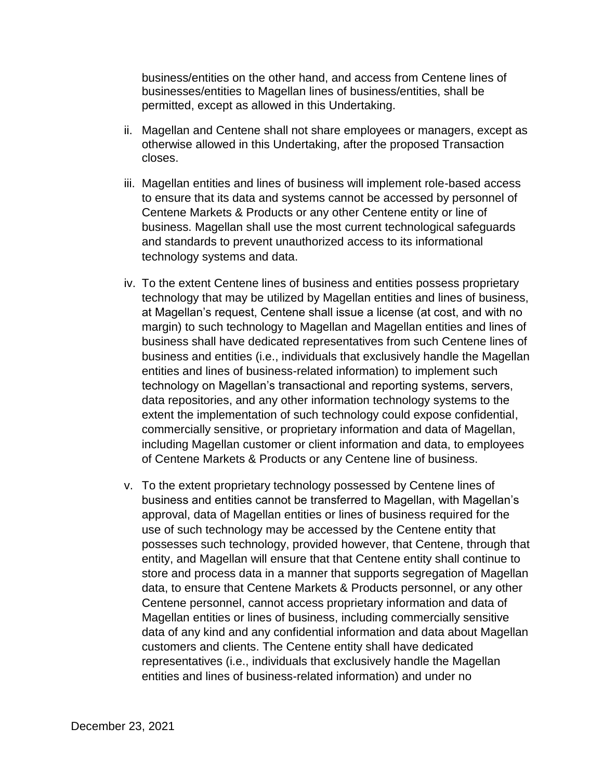business/entities on the other hand, and access from Centene lines of businesses/entities to Magellan lines of business/entities, shall be permitted, except as allowed in this Undertaking.

- ii. Magellan and Centene shall not share employees or managers, except as otherwise allowed in this Undertaking, after the proposed Transaction closes.
- iii. Magellan entities and lines of business will implement role-based access to ensure that its data and systems cannot be accessed by personnel of Centene Markets & Products or any other Centene entity or line of business. Magellan shall use the most current technological safeguards and standards to prevent unauthorized access to its informational technology systems and data.
- iv. To the extent Centene lines of business and entities possess proprietary technology that may be utilized by Magellan entities and lines of business, at Magellan's request, Centene shall issue a license (at cost, and with no margin) to such technology to Magellan and Magellan entities and lines of business shall have dedicated representatives from such Centene lines of business and entities (i.e., individuals that exclusively handle the Magellan entities and lines of business-related information) to implement such technology on Magellan's transactional and reporting systems, servers, data repositories, and any other information technology systems to the extent the implementation of such technology could expose confidential, commercially sensitive, or proprietary information and data of Magellan, including Magellan customer or client information and data, to employees of Centene Markets & Products or any Centene line of business.
- approval, data of Magellan entities or lines of business required for the use of such technology may be accessed by the Centene entity that Centene personnel, cannot access proprietary information and data of v. To the extent proprietary technology possessed by Centene lines of business and entities cannot be transferred to Magellan, with Magellan's possesses such technology, provided however, that Centene, through that entity, and Magellan will ensure that that Centene entity shall continue to store and process data in a manner that supports segregation of Magellan data, to ensure that Centene Markets & Products personnel, or any other Magellan entities or lines of business, including commercially sensitive data of any kind and any confidential information and data about Magellan customers and clients. The Centene entity shall have dedicated representatives (i.e., individuals that exclusively handle the Magellan entities and lines of business-related information) and under no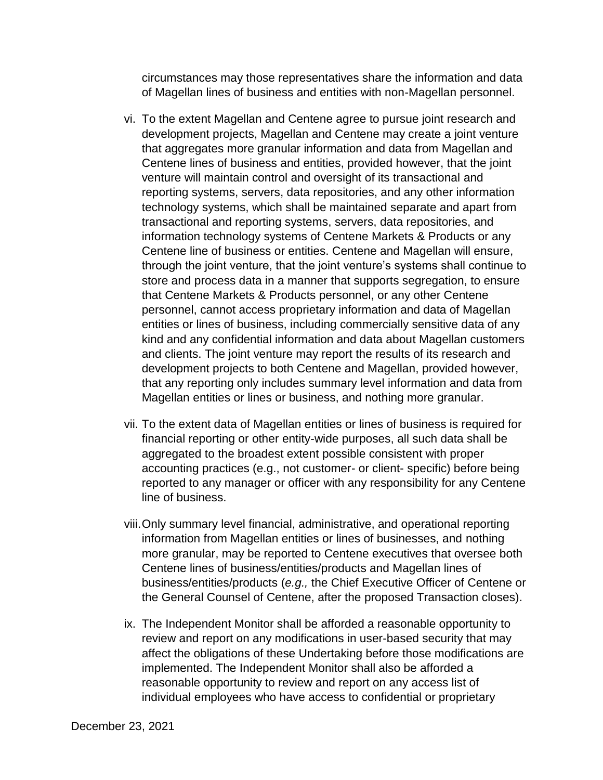circumstances may those representatives share the information and data of Magellan lines of business and entities with non-Magellan personnel.

- that aggregates more granular information and data from Magellan and entities or lines of business, including commercially sensitive data of any that any reporting only includes summary level information and data from vi. To the extent Magellan and Centene agree to pursue joint research and development projects, Magellan and Centene may create a joint venture Centene lines of business and entities, provided however, that the joint venture will maintain control and oversight of its transactional and reporting systems, servers, data repositories, and any other information technology systems, which shall be maintained separate and apart from transactional and reporting systems, servers, data repositories, and information technology systems of Centene Markets & Products or any Centene line of business or entities. Centene and Magellan will ensure, through the joint venture, that the joint venture's systems shall continue to store and process data in a manner that supports segregation, to ensure that Centene Markets & Products personnel, or any other Centene personnel, cannot access proprietary information and data of Magellan kind and any confidential information and data about Magellan customers and clients. The joint venture may report the results of its research and development projects to both Centene and Magellan, provided however, Magellan entities or lines or business, and nothing more granular.
- financial reporting or other entity-wide purposes, all such data shall be accounting practices (e.g., not customer- or client- specific) before being line of business. vii. To the extent data of Magellan entities or lines of business is required for aggregated to the broadest extent possible consistent with proper reported to any manager or officer with any responsibility for any Centene
- more granular, may be reported to Centene executives that oversee both viii.Only summary level financial, administrative, and operational reporting information from Magellan entities or lines of businesses, and nothing Centene lines of business/entities/products and Magellan lines of business/entities/products (*e.g.,* the Chief Executive Officer of Centene or the General Counsel of Centene, after the proposed Transaction closes).
- ix. The Independent Monitor shall be afforded a reasonable opportunity to review and report on any modifications in user-based security that may affect the obligations of these Undertaking before those modifications are implemented. The Independent Monitor shall also be afforded a reasonable opportunity to review and report on any access list of individual employees who have access to confidential or proprietary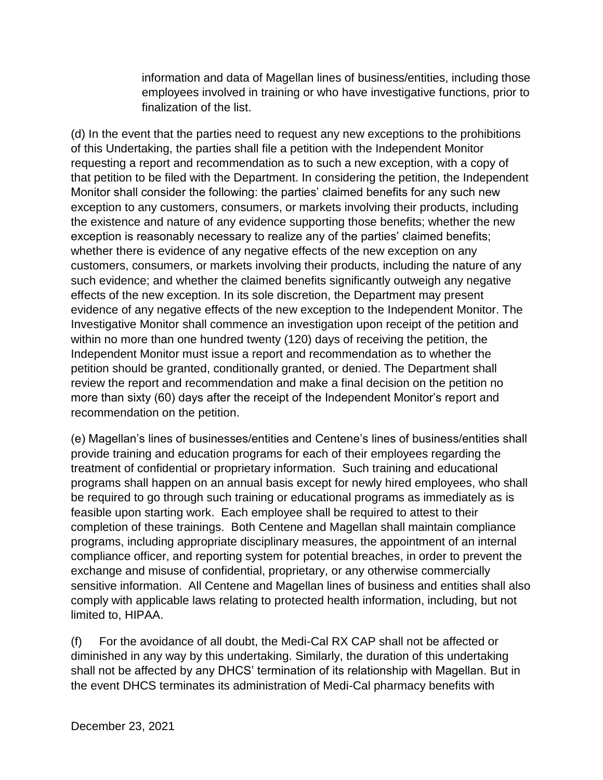information and data of Magellan lines of business/entities, including those employees involved in training or who have investigative functions, prior to finalization of the list.

(d) In the event that the parties need to request any new exceptions to the prohibitions of this Undertaking, the parties shall file a petition with the Independent Monitor requesting a report and recommendation as to such a new exception, with a copy of that petition to be filed with the Department. In considering the petition, the Independent Monitor shall consider the following: the parties' claimed benefits for any such new exception to any customers, consumers, or markets involving their products, including the existence and nature of any evidence supporting those benefits; whether the new exception is reasonably necessary to realize any of the parties' claimed benefits; whether there is evidence of any negative effects of the new exception on any customers, consumers, or markets involving their products, including the nature of any such evidence; and whether the claimed benefits significantly outweigh any negative effects of the new exception. In its sole discretion, the Department may present evidence of any negative effects of the new exception to the Independent Monitor. The Investigative Monitor shall commence an investigation upon receipt of the petition and within no more than one hundred twenty (120) days of receiving the petition, the Independent Monitor must issue a report and recommendation as to whether the petition should be granted, conditionally granted, or denied. The Department shall review the report and recommendation and make a final decision on the petition no more than sixty (60) days after the receipt of the Independent Monitor's report and recommendation on the petition.

(e) Magellan's lines of businesses/entities and Centene's lines of business/entities shall provide training and education programs for each of their employees regarding the treatment of confidential or proprietary information. Such training and educational programs shall happen on an annual basis except for newly hired employees, who shall be required to go through such training or educational programs as immediately as is feasible upon starting work. Each employee shall be required to attest to their completion of these trainings. Both Centene and Magellan shall maintain compliance programs, including appropriate disciplinary measures, the appointment of an internal compliance officer, and reporting system for potential breaches, in order to prevent the exchange and misuse of confidential, proprietary, or any otherwise commercially sensitive information. All Centene and Magellan lines of business and entities shall also comply with applicable laws relating to protected health information, including, but not limited to, HIPAA.

(f) For the avoidance of all doubt, the Medi-Cal RX CAP shall not be affected or diminished in any way by this undertaking. Similarly, the duration of this undertaking shall not be affected by any DHCS' termination of its relationship with Magellan. But in the event DHCS terminates its administration of Medi-Cal pharmacy benefits with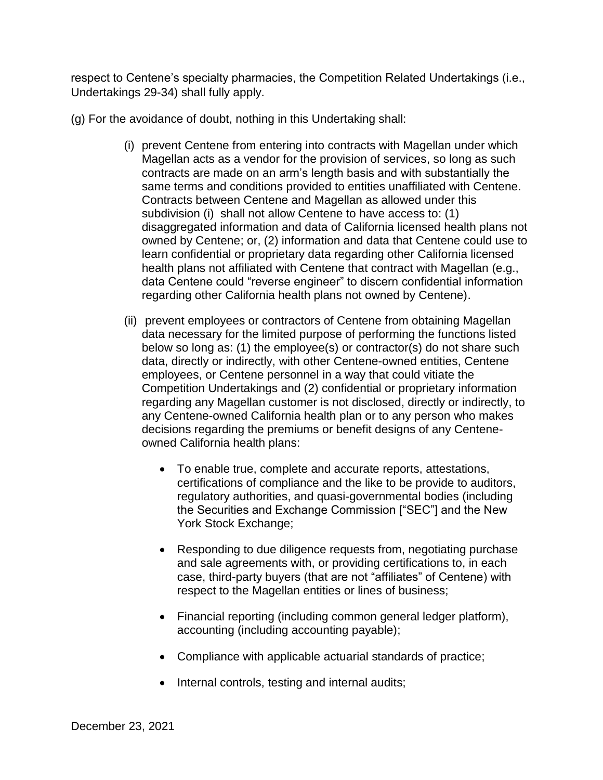respect to Centene's specialty pharmacies, the Competition Related Undertakings (i.e., Undertakings 29-34) shall fully apply.

(g) For the avoidance of doubt, nothing in this Undertaking shall:

- contracts are made on an arm's length basis and with substantially the same terms and conditions provided to entities unaffiliated with Centene. (i) prevent Centene from entering into contracts with Magellan under which Magellan acts as a vendor for the provision of services, so long as such Contracts between Centene and Magellan as allowed under this subdivision (i) shall not allow Centene to have access to: (1) disaggregated information and data of California licensed health plans not owned by Centene; or, (2) information and data that Centene could use to learn confidential or proprietary data regarding other California licensed health plans not affiliated with Centene that contract with Magellan (e.g., data Centene could "reverse engineer" to discern confidential information regarding other California health plans not owned by Centene).
- data necessary for the limited purpose of performing the functions listed (ii) prevent employees or contractors of Centene from obtaining Magellan below so long as: (1) the employee(s) or contractor(s) do not share such data, directly or indirectly, with other Centene-owned entities, Centene employees, or Centene personnel in a way that could vitiate the Competition Undertakings and (2) confidential or proprietary information regarding any Magellan customer is not disclosed, directly or indirectly, to any Centene-owned California health plan or to any person who makes decisions regarding the premiums or benefit designs of any Centeneowned California health plans:
	- To enable true, complete and accurate reports, attestations, certifications of compliance and the like to be provide to auditors, regulatory authorities, and quasi-governmental bodies (including the Securities and Exchange Commission ["SEC"] and the New York Stock Exchange;
	- Responding to due diligence requests from, negotiating purchase and sale agreements with, or providing certifications to, in each case, third-party buyers (that are not "affiliates" of Centene) with respect to the Magellan entities or lines of business;
	- Financial reporting (including common general ledger platform), accounting (including accounting payable);
	- Compliance with applicable actuarial standards of practice;
	- Internal controls, testing and internal audits;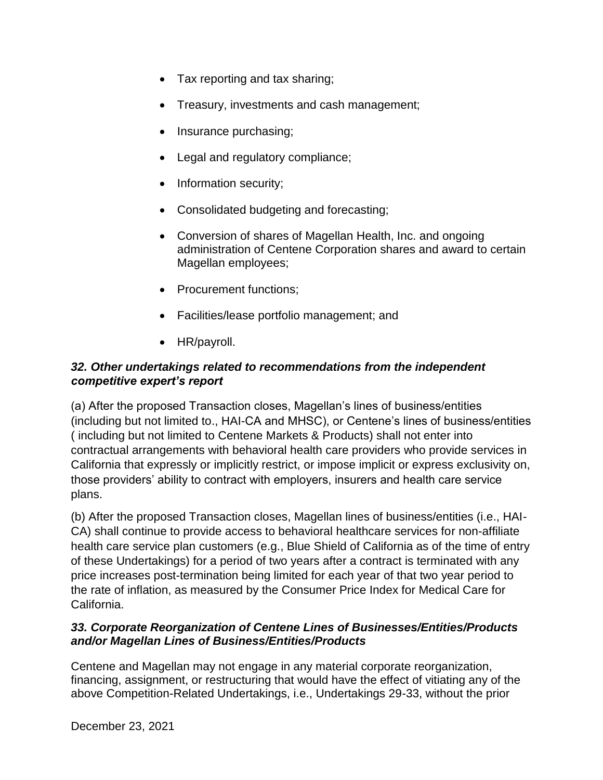- Tax reporting and tax sharing;
- Treasury, investments and cash management;
- Insurance purchasing;
- Legal and regulatory compliance;
- Information security;
- Consolidated budgeting and forecasting;
- Conversion of shares of Magellan Health, Inc. and ongoing administration of Centene Corporation shares and award to certain Magellan employees;
- Procurement functions;
- Facilities/lease portfolio management; and
- HR/payroll.

### *competitive expert's report 32. Other undertakings related to recommendations from the independent*

 (a) After the proposed Transaction closes, Magellan's lines of business/entities ( including but not limited to Centene Markets & Products) shall not enter into (including but not limited to., HAI-CA and MHSC), or Centene's lines of business/entities contractual arrangements with behavioral health care providers who provide services in California that expressly or implicitly restrict, or impose implicit or express exclusivity on, those providers' ability to contract with employers, insurers and health care service plans.

 (b) After the proposed Transaction closes, Magellan lines of business/entities (i.e., HAI- health care service plan customers (e.g., Blue Shield of California as of the time of entry of these Undertakings) for a period of two years after a contract is terminated with any CA) shall continue to provide access to behavioral healthcare services for non-affiliate price increases post-termination being limited for each year of that two year period to the rate of inflation, as measured by the Consumer Price Index for Medical Care for California.

### *33. Corporate Reorganization of Centene Lines of Businesses/Entities/Products and/or Magellan Lines of Business/Entities/Products*

Centene and Magellan may not engage in any material corporate reorganization, financing, assignment, or restructuring that would have the effect of vitiating any of the above Competition-Related Undertakings, i.e., Undertakings 29-33, without the prior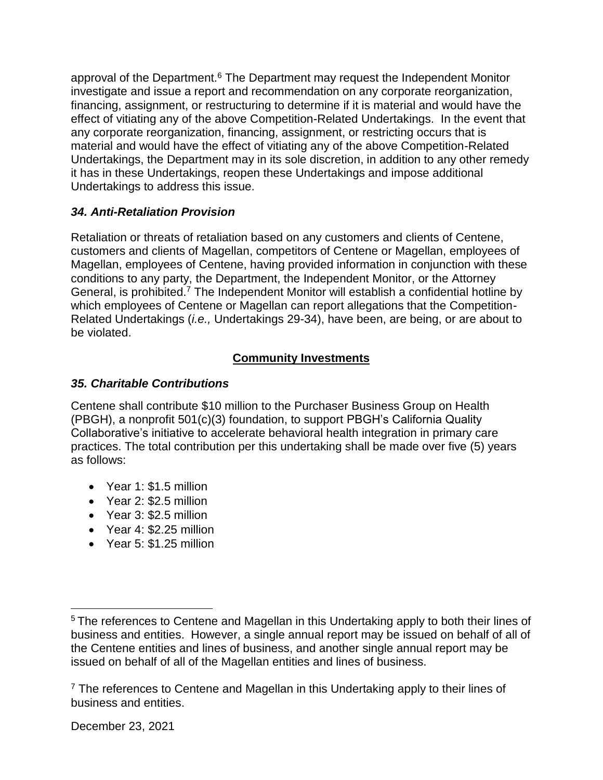approval of the Department.<sup>6</sup> The Department may request the Independent Monitor investigate and issue a report and recommendation on any corporate reorganization, financing, assignment, or restructuring to determine if it is material and would have the effect of vitiating any of the above Competition-Related Undertakings. In the event that any corporate reorganization, financing, assignment, or restricting occurs that is material and would have the effect of vitiating any of the above Competition-Related Undertakings, the Department may in its sole discretion, in addition to any other remedy it has in these Undertakings, reopen these Undertakings and impose additional Undertakings to address this issue.

### *34. Anti-Retaliation Provision*

Retaliation or threats of retaliation based on any customers and clients of Centene, customers and clients of Magellan, competitors of Centene or Magellan, employees of Magellan, employees of Centene, having provided information in conjunction with these conditions to any party, the Department, the Independent Monitor, or the Attorney General, is prohibited.<sup>7</sup> The Independent Monitor will establish a confidential hotline by which employees of Centene or Magellan can report allegations that the Competition-Related Undertakings (*i.e.,* Undertakings 29-34), have been, are being, or are about to be violated.

## **Community Investments**

## *35. Charitable Contributions*

Centene shall contribute \$10 million to the Purchaser Business Group on Health (PBGH), a nonprofit 501(c)(3) foundation, to support PBGH's California Quality Collaborative's initiative to accelerate behavioral health integration in primary care practices. The total contribution per this undertaking shall be made over five (5) years as follows:

- Year 1: \$1.5 million
- Year 2: \$2.5 million
- Year 3: \$2.5 million
- Year 4: \$2.25 million
- Year 5: \$1.25 million

 $\overline{a}$ 

 business and entities. However, a single annual report may be issued on behalf of all of <sup>5</sup> The references to Centene and Magellan in this Undertaking apply to both their lines of the Centene entities and lines of business, and another single annual report may be issued on behalf of all of the Magellan entities and lines of business.

 $7$  The references to Centene and Magellan in this Undertaking apply to their lines of business and entities.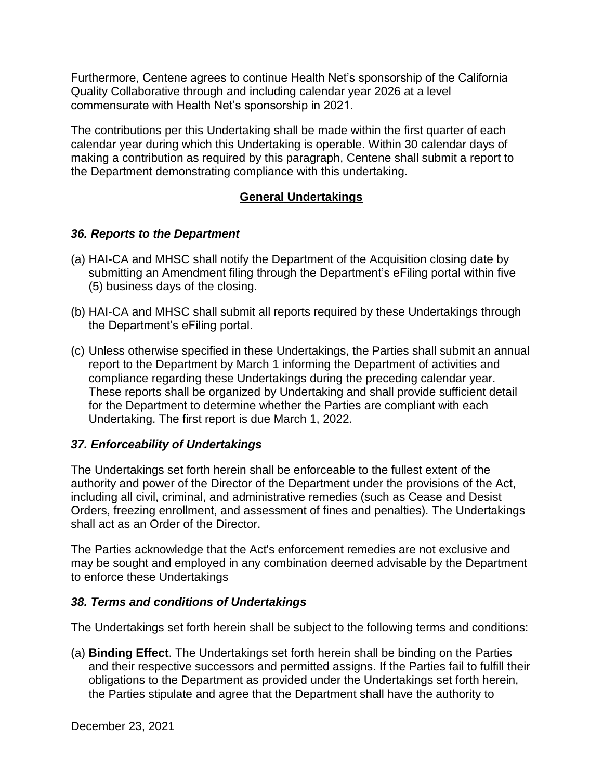Furthermore, Centene agrees to continue Health Net's sponsorship of the California Quality Collaborative through and including calendar year 2026 at a level commensurate with Health Net's sponsorship in 2021.

 The contributions per this Undertaking shall be made within the first quarter of each calendar year during which this Undertaking is operable. Within 30 calendar days of making a contribution as required by this paragraph, Centene shall submit a report to the Department demonstrating compliance with this undertaking.

#### **General Undertakings**

#### *36. Reports to the Department*

- (a) HAI-CA and MHSC shall notify the Department of the Acquisition closing date by submitting an Amendment filing through the Department's eFiling portal within five (5) business days of the closing.
- (b) HAI-CA and MHSC shall submit all reports required by these Undertakings through the Department's eFiling portal.
- (c) Unless otherwise specified in these Undertakings, the Parties shall submit an annual report to the Department by March 1 informing the Department of activities and compliance regarding these Undertakings during the preceding calendar year. These reports shall be organized by Undertaking and shall provide sufficient detail for the Department to determine whether the Parties are compliant with each Undertaking. The first report is due March 1, 2022.

#### *37. Enforceability of Undertakings*

 The Undertakings set forth herein shall be enforceable to the fullest extent of the authority and power of the Director of the Department under the provisions of the Act, Orders, freezing enrollment, and assessment of fines and penalties). The Undertakings including all civil, criminal, and administrative remedies (such as Cease and Desist shall act as an Order of the Director.

The Parties acknowledge that the Act's enforcement remedies are not exclusive and may be sought and employed in any combination deemed advisable by the Department to enforce these Undertakings

#### *38. Terms and conditions of Undertakings*

The Undertakings set forth herein shall be subject to the following terms and conditions:

 (a) **Binding Effect**. The Undertakings set forth herein shall be binding on the Parties and their respective successors and permitted assigns. If the Parties fail to fulfill their the Parties stipulate and agree that the Department shall have the authority to obligations to the Department as provided under the Undertakings set forth herein,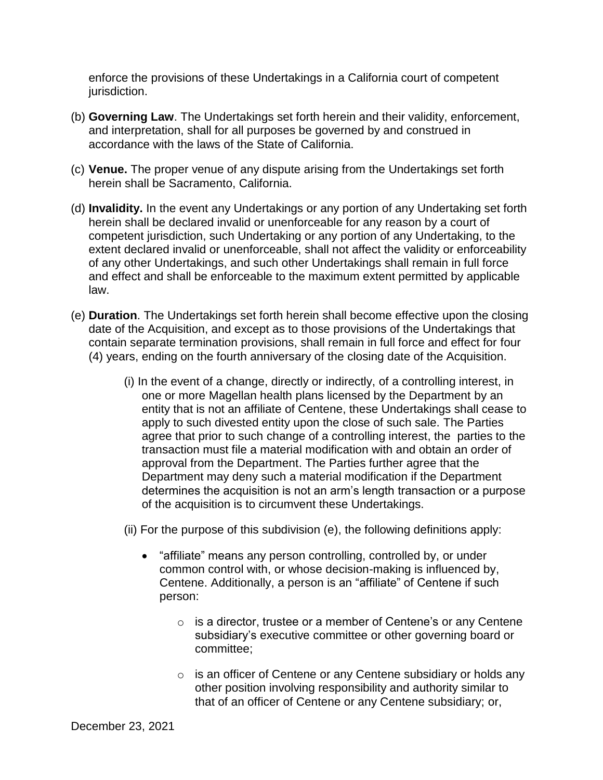enforce the provisions of these Undertakings in a California court of competent jurisdiction.

- (b) **Governing Law**. The Undertakings set forth herein and their validity, enforcement, and interpretation, shall for all purposes be governed by and construed in accordance with the laws of the State of California.
- (c) **Venue.** The proper venue of any dispute arising from the Undertakings set forth herein shall be Sacramento, California.
- (d) **Invalidity.** In the event any Undertakings or any portion of any Undertaking set forth herein shall be declared invalid or unenforceable for any reason by a court of competent jurisdiction, such Undertaking or any portion of any Undertaking, to the extent declared invalid or unenforceable, shall not affect the validity or enforceability of any other Undertakings, and such other Undertakings shall remain in full force and effect and shall be enforceable to the maximum extent permitted by applicable law.
- (e) **Duration**. The Undertakings set forth herein shall become effective upon the closing contain separate termination provisions, shall remain in full force and effect for four (4) years, ending on the fourth anniversary of the closing date of the Acquisition. date of the Acquisition, and except as to those provisions of the Undertakings that
	- transaction must file a material modification with and obtain an order of (i) In the event of a change, directly or indirectly, of a controlling interest, in one or more Magellan health plans licensed by the Department by an entity that is not an affiliate of Centene, these Undertakings shall cease to apply to such divested entity upon the close of such sale. The Parties agree that prior to such change of a controlling interest, the parties to the approval from the Department. The Parties further agree that the Department may deny such a material modification if the Department determines the acquisition is not an arm's length transaction or a purpose of the acquisition is to circumvent these Undertakings.
	- (ii) For the purpose of this subdivision (e), the following definitions apply:
		- "affiliate" means any person controlling, controlled by, or under common control with, or whose decision-making is influenced by, Centene. Additionally, a person is an "affiliate" of Centene if such person:
			- o is a director, trustee or a member of Centene's or any Centene subsidiary's executive committee or other governing board or committee;
			- o is an officer of Centene or any Centene subsidiary or holds any other position involving responsibility and authority similar to that of an officer of Centene or any Centene subsidiary; or,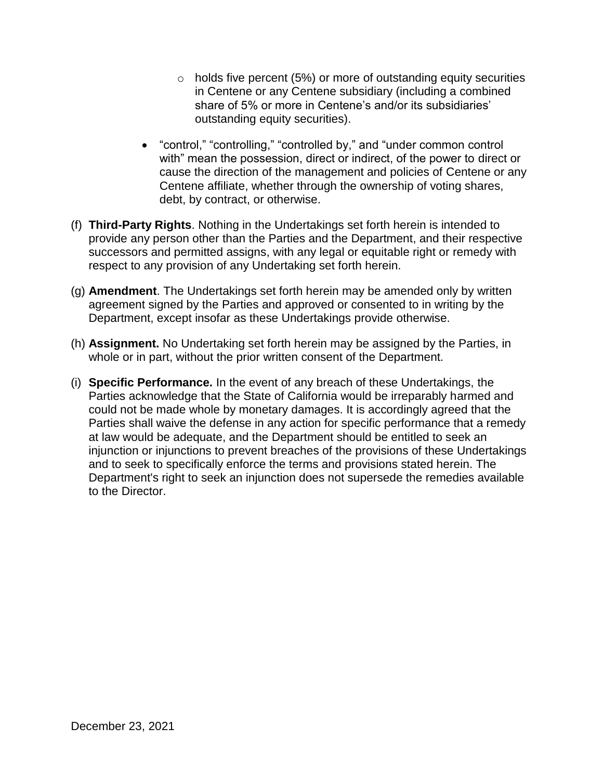- $\circ$  holds five percent (5%) or more of outstanding equity securities in Centene or any Centene subsidiary (including a combined share of 5% or more in Centene's and/or its subsidiaries' outstanding equity securities).
- "control," "controlling," "controlled by," and "under common control with" mean the possession, direct or indirect, of the power to direct or cause the direction of the management and policies of Centene or any Centene affiliate, whether through the ownership of voting shares, debt, by contract, or otherwise.
- successors and permitted assigns, with any legal or equitable right or remedy with (f) **Third-Party Rights**. Nothing in the Undertakings set forth herein is intended to provide any person other than the Parties and the Department, and their respective respect to any provision of any Undertaking set forth herein.
- (g) **Amendment**. The Undertakings set forth herein may be amended only by written agreement signed by the Parties and approved or consented to in writing by the Department, except insofar as these Undertakings provide otherwise.
- (h) **Assignment.** No Undertaking set forth herein may be assigned by the Parties, in whole or in part, without the prior written consent of the Department.
- (i) **Specific Performance.** In the event of any breach of these Undertakings, the Parties acknowledge that the State of California would be irreparably harmed and could not be made whole by monetary damages. It is accordingly agreed that the Parties shall waive the defense in any action for specific performance that a remedy at law would be adequate, and the Department should be entitled to seek an injunction or injunctions to prevent breaches of the provisions of these Undertakings and to seek to specifically enforce the terms and provisions stated herein. The Department's right to seek an injunction does not supersede the remedies available to the Director.